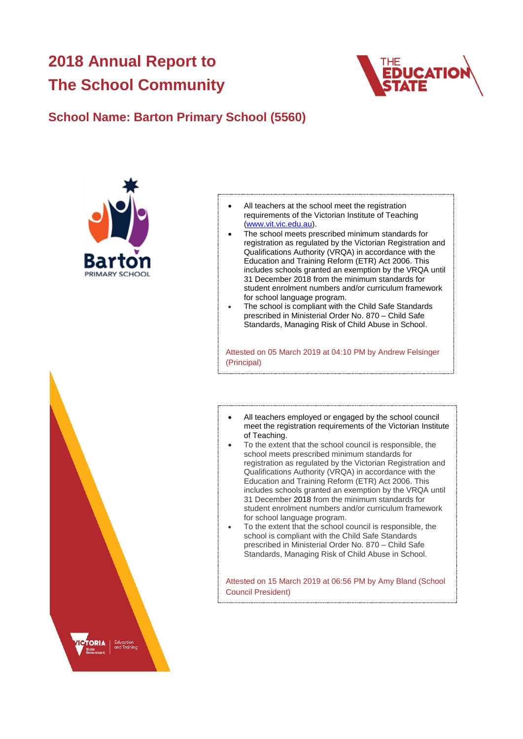# **2018 Annual Report to The School Community**



# **School Name: Barton Primary School (5560)**



- All teachers at the school meet the registration requirements of the Victorian Institute of Teaching [\(www.vit.vic.edu.au\)](https://www.vit.vic.edu.au/).
- The school meets prescribed minimum standards for registration as regulated by the Victorian Registration and Qualifications Authority (VRQA) in accordance with the Education and Training Reform (ETR) Act 2006. This includes schools granted an exemption by the VRQA until 31 December 2018 from the minimum standards for student enrolment numbers and/or curriculum framework for school language program.
- The school is compliant with the Child Safe Standards prescribed in Ministerial Order No. 870 – Child Safe Standards, Managing Risk of Child Abuse in School.

Attested on 05 March 2019 at 04:10 PM by Andrew Felsinger (Principal)

- All teachers employed or engaged by the school council meet the registration requirements of the Victorian Institute of Teaching.
- To the extent that the school council is responsible, the school meets prescribed minimum standards for registration as regulated by the Victorian Registration and Qualifications Authority (VRQA) in accordance with the Education and Training Reform (ETR) Act 2006. This includes schools granted an exemption by the VRQA until 31 December 2018 from the minimum standards for student enrolment numbers and/or curriculum framework for school language program.
- To the extent that the school council is responsible, the school is compliant with the Child Safe Standards prescribed in Ministerial Order No. 870 – Child Safe Standards, Managing Risk of Child Abuse in School.

Attested on 15 March 2019 at 06:56 PM by Amy Bland (School Council President)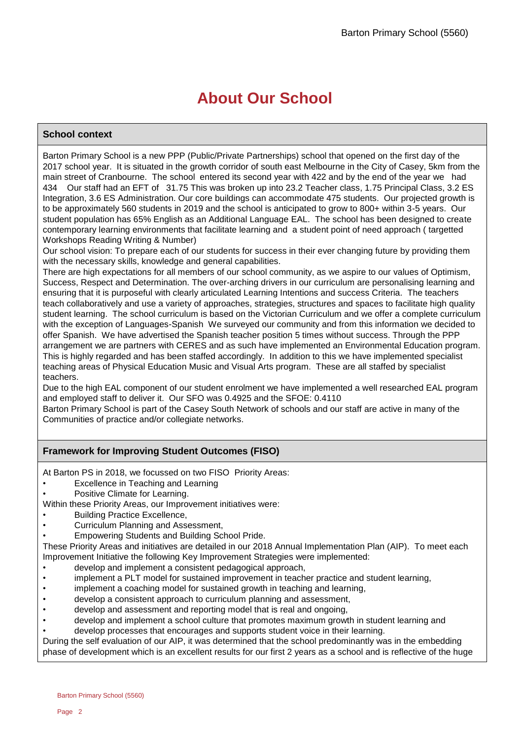# **About Our School**

# **School context**

Barton Primary School is a new PPP (Public/Private Partnerships) school that opened on the first day of the 2017 school year. It is situated in the growth corridor of south east Melbourne in the City of Casey, 5km from the main street of Cranbourne. The school entered its second year with 422 and by the end of the year we had 434 Our staff had an EFT of 31.75 This was broken up into 23.2 Teacher class, 1.75 Principal Class, 3.2 ES Integration, 3.6 ES Administration. Our core buildings can accommodate 475 students. Our projected growth is to be approximately 560 students in 2019 and the school is anticipated to grow to 800+ within 3-5 years. Our student population has 65% English as an Additional Language EAL. The school has been designed to create contemporary learning environments that facilitate learning and a student point of need approach ( targetted Workshops Reading Writing & Number)

Our school vision: To prepare each of our students for success in their ever changing future by providing them with the necessary skills, knowledge and general capabilities.

There are high expectations for all members of our school community, as we aspire to our values of Optimism, Success, Respect and Determination. The over-arching drivers in our curriculum are personalising learning and ensuring that it is purposeful with clearly articulated Learning Intentions and success Criteria. The teachers teach collaboratively and use a variety of approaches, strategies, structures and spaces to facilitate high quality student learning. The school curriculum is based on the Victorian Curriculum and we offer a complete curriculum with the exception of Languages-Spanish We surveyed our community and from this information we decided to offer Spanish. We have advertised the Spanish teacher position 5 times without success. Through the PPP arrangement we are partners with CERES and as such have implemented an Environmental Education program. This is highly regarded and has been staffed accordingly. In addition to this we have implemented specialist teaching areas of Physical Education Music and Visual Arts program. These are all staffed by specialist teachers.

Due to the high EAL component of our student enrolment we have implemented a well researched EAL program and employed staff to deliver it. Our SFO was 0.4925 and the SFOE: 0.4110

Barton Primary School is part of the Casey South Network of schools and our staff are active in many of the Communities of practice and/or collegiate networks.

# **Framework for Improving Student Outcomes (FISO)**

At Barton PS in 2018, we focussed on two FISO Priority Areas:

- Excellence in Teaching and Learning
- Positive Climate for Learning.

Within these Priority Areas, our Improvement initiatives were:

- Building Practice Excellence.
- Curriculum Planning and Assessment,
- Empowering Students and Building School Pride.

These Priority Areas and initiatives are detailed in our 2018 Annual Implementation Plan (AIP). To meet each Improvement Initiative the following Key Improvement Strategies were implemented:

- develop and implement a consistent pedagogical approach,
- implement a PLT model for sustained improvement in teacher practice and student learning,
- implement a coaching model for sustained growth in teaching and learning,
- develop a consistent approach to curriculum planning and assessment,
- develop and assessment and reporting model that is real and ongoing,
- develop and implement a school culture that promotes maximum growth in student learning and
- develop processes that encourages and supports student voice in their learning.

During the self evaluation of our AIP, it was determined that the school predominantly was in the embedding phase of development which is an excellent results for our first 2 years as a school and is reflective of the huge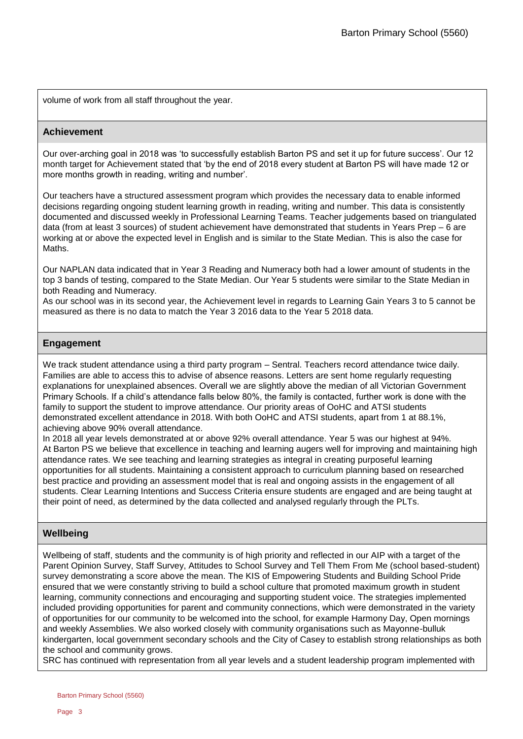volume of work from all staff throughout the year.

## **Achievement**

Our over-arching goal in 2018 was 'to successfully establish Barton PS and set it up for future success'. Our 12 month target for Achievement stated that 'by the end of 2018 every student at Barton PS will have made 12 or more months growth in reading, writing and number'.

Our teachers have a structured assessment program which provides the necessary data to enable informed decisions regarding ongoing student learning growth in reading, writing and number. This data is consistently documented and discussed weekly in Professional Learning Teams. Teacher judgements based on triangulated data (from at least 3 sources) of student achievement have demonstrated that students in Years Prep – 6 are working at or above the expected level in English and is similar to the State Median. This is also the case for Maths.

Our NAPLAN data indicated that in Year 3 Reading and Numeracy both had a lower amount of students in the top 3 bands of testing, compared to the State Median. Our Year 5 students were similar to the State Median in both Reading and Numeracy.

As our school was in its second year, the Achievement level in regards to Learning Gain Years 3 to 5 cannot be measured as there is no data to match the Year 3 2016 data to the Year 5 2018 data.

# **Engagement**

We track student attendance using a third party program – Sentral. Teachers record attendance twice daily. Families are able to access this to advise of absence reasons. Letters are sent home regularly requesting explanations for unexplained absences. Overall we are slightly above the median of all Victorian Government Primary Schools. If a child's attendance falls below 80%, the family is contacted, further work is done with the family to support the student to improve attendance. Our priority areas of OoHC and ATSI students demonstrated excellent attendance in 2018. With both OoHC and ATSI students, apart from 1 at 88.1%, achieving above 90% overall attendance.

In 2018 all year levels demonstrated at or above 92% overall attendance. Year 5 was our highest at 94%. At Barton PS we believe that excellence in teaching and learning augers well for improving and maintaining high attendance rates. We see teaching and learning strategies as integral in creating purposeful learning opportunities for all students. Maintaining a consistent approach to curriculum planning based on researched best practice and providing an assessment model that is real and ongoing assists in the engagement of all students. Clear Learning Intentions and Success Criteria ensure students are engaged and are being taught at their point of need, as determined by the data collected and analysed regularly through the PLTs.

# **Wellbeing**

Wellbeing of staff, students and the community is of high priority and reflected in our AIP with a target of the Parent Opinion Survey, Staff Survey, Attitudes to School Survey and Tell Them From Me (school based-student) survey demonstrating a score above the mean. The KIS of Empowering Students and Building School Pride ensured that we were constantly striving to build a school culture that promoted maximum growth in student learning, community connections and encouraging and supporting student voice. The strategies implemented included providing opportunities for parent and community connections, which were demonstrated in the variety of opportunities for our community to be welcomed into the school, for example Harmony Day, Open mornings and weekly Assemblies. We also worked closely with community organisations such as Mayonne-bulluk kindergarten, local government secondary schools and the City of Casey to establish strong relationships as both the school and community grows.

SRC has continued with representation from all year levels and a student leadership program implemented with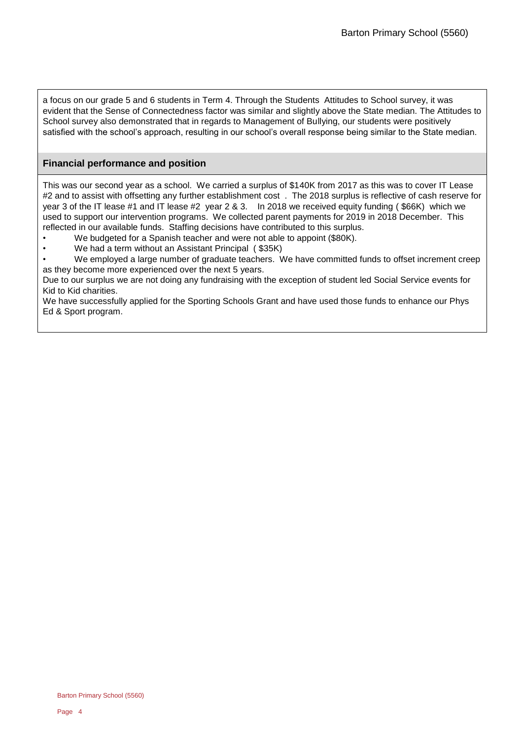a focus on our grade 5 and 6 students in Term 4. Through the Students Attitudes to School survey, it was evident that the Sense of Connectedness factor was similar and slightly above the State median. The Attitudes to School survey also demonstrated that in regards to Management of Bullying, our students were positively satisfied with the school's approach, resulting in our school's overall response being similar to the State median.

# **Financial performance and position**

This was our second year as a school. We carried a surplus of \$140K from 2017 as this was to cover IT Lease #2 and to assist with offsetting any further establishment cost . The 2018 surplus is reflective of cash reserve for year 3 of the IT lease #1 and IT lease #2 year 2 & 3. In 2018 we received equity funding ( \$66K) which we used to support our intervention programs. We collected parent payments for 2019 in 2018 December. This reflected in our available funds. Staffing decisions have contributed to this surplus.

- We budgeted for a Spanish teacher and were not able to appoint (\$80K).
- We had a term without an Assistant Principal ( \$35K)
- We employed a large number of graduate teachers. We have committed funds to offset increment creep as they become more experienced over the next 5 years.

Due to our surplus we are not doing any fundraising with the exception of student led Social Service events for Kid to Kid charities.

We have successfully applied for the Sporting Schools Grant and have used those funds to enhance our Phys Ed & Sport program.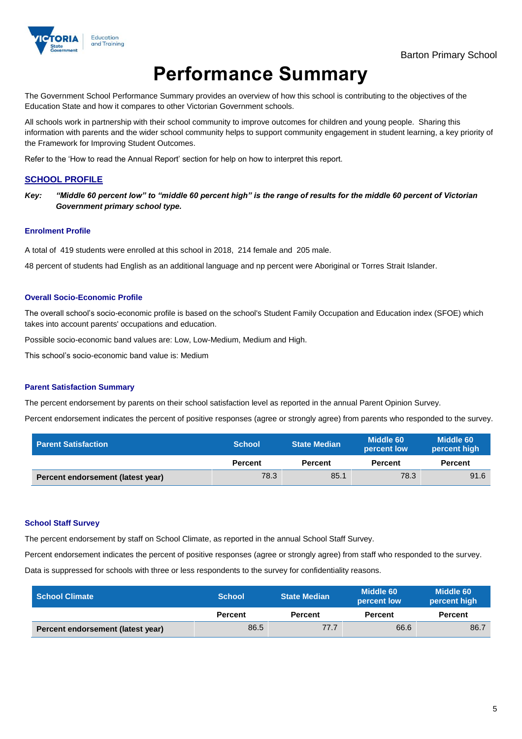

# **Performance Summary**

The Government School Performance Summary provides an overview of how this school is contributing to the objectives of the Education State and how it compares to other Victorian Government schools.

All schools work in partnership with their school community to improve outcomes for children and young people. Sharing this information with parents and the wider school community helps to support community engagement in student learning, a key priority of the Framework for Improving Student Outcomes.

Refer to the 'How to read the Annual Report' section for help on how to interpret this report.

### **SCHOOL PROFILE**

*Key: "Middle 60 percent low" to "middle 60 percent high" is the range of results for the middle 60 percent of Victorian Government primary school type.*

#### **Enrolment Profile**

A total of 419 students were enrolled at this school in 2018, 214 female and 205 male.

48 percent of students had English as an additional language and np percent were Aboriginal or Torres Strait Islander.

#### **Overall Socio-Economic Profile**

The overall school's socio-economic profile is based on the school's Student Family Occupation and Education index (SFOE) which takes into account parents' occupations and education.

Possible socio-economic band values are: Low, Low-Medium, Medium and High.

This school's socio-economic band value is: Medium

#### **Parent Satisfaction Summary**

The percent endorsement by parents on their school satisfaction level as reported in the annual Parent Opinion Survey.

Percent endorsement indicates the percent of positive responses (agree or strongly agree) from parents who responded to the survey.

| <b>Parent Satisfaction</b>        | <b>School</b>  | <b>State Median</b> |                | Middle 60<br>percent low |  | Middle 60<br>percent high |
|-----------------------------------|----------------|---------------------|----------------|--------------------------|--|---------------------------|
|                                   | <b>Percent</b> | <b>Percent</b>      | <b>Percent</b> | <b>Percent</b>           |  |                           |
| Percent endorsement (latest year) | 78.3           | 85.1                | 78.3           | 91.6                     |  |                           |

#### **School Staff Survey**

The percent endorsement by staff on School Climate, as reported in the annual School Staff Survey.

Percent endorsement indicates the percent of positive responses (agree or strongly agree) from staff who responded to the survey.

Data is suppressed for schools with three or less respondents to the survey for confidentiality reasons.

| <b>School Climate</b>             | <b>School</b>  | <b>State Median</b> | Middle 60<br>percent low |                |
|-----------------------------------|----------------|---------------------|--------------------------|----------------|
|                                   | <b>Percent</b> | <b>Percent</b>      | <b>Percent</b>           | <b>Percent</b> |
| Percent endorsement (latest year) | 86.5           | 77.7                | 66.6                     | 86.7           |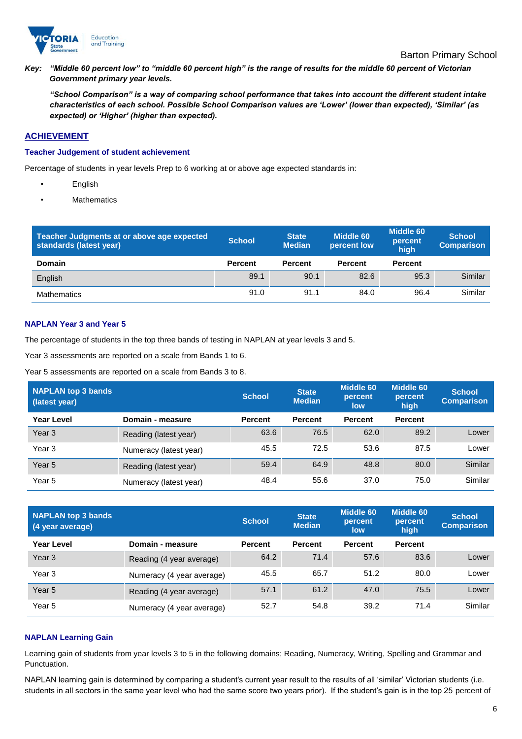

*Key: "Middle 60 percent low" to "middle 60 percent high" is the range of results for the middle 60 percent of Victorian Government primary year levels.*

*"School Comparison" is a way of comparing school performance that takes into account the different student intake characteristics of each school. Possible School Comparison values are 'Lower' (lower than expected), 'Similar' (as expected) or 'Higher' (higher than expected).*

## **ACHIEVEMENT**

#### **Teacher Judgement of student achievement**

Percentage of students in year levels Prep to 6 working at or above age expected standards in:

- English
- **Mathematics**

| Teacher Judgments at or above age expected<br>standards (latest year) | <b>School</b>  | <b>State</b><br><b>Median</b> | <b>Middle 60</b><br>percent low | <b>Middle 60</b><br>percent<br>high | <b>School</b><br><b>Comparison</b> |
|-----------------------------------------------------------------------|----------------|-------------------------------|---------------------------------|-------------------------------------|------------------------------------|
| Domain                                                                | <b>Percent</b> | <b>Percent</b>                | <b>Percent</b>                  | <b>Percent</b>                      |                                    |
| English                                                               | 89.1           | 90.1                          | 82.6                            | 95.3                                | Similar                            |
| Mathematics                                                           | 91.0           | 91.1                          | 84.0                            | 96.4                                | Similar                            |

## **NAPLAN Year 3 and Year 5**

The percentage of students in the top three bands of testing in NAPLAN at year levels 3 and 5.

Year 3 assessments are reported on a scale from Bands 1 to 6.

Year 5 assessments are reported on a scale from Bands 3 to 8.

| <b>NAPLAN top 3 bands</b><br>(latest year) |                        | <b>School</b>  | <b>State</b><br><b>Median</b> | <b>Middle 60</b><br>percent<br>low | Middle 60<br>percent<br>high | <b>School</b><br><b>Comparison</b> |
|--------------------------------------------|------------------------|----------------|-------------------------------|------------------------------------|------------------------------|------------------------------------|
| Year Level                                 | Domain - measure       | <b>Percent</b> | <b>Percent</b>                | <b>Percent</b>                     | <b>Percent</b>               |                                    |
| Year <sub>3</sub>                          | Reading (latest year)  | 63.6           | 76.5                          | 62.0                               | 89.2                         | Lower                              |
| Year <sub>3</sub>                          | Numeracy (latest year) | 45.5           | 72.5                          | 53.6                               | 87.5                         | Lower                              |
| Year <sub>5</sub>                          | Reading (latest year)  | 59.4           | 64.9                          | 48.8                               | 80.0                         | Similar                            |
| Year 5                                     | Numeracy (latest year) | 48.4           | 55.6                          | 37.0                               | 75.0                         | Similar                            |

| NAPLAN top 3 bands<br>(4 year average) |                           | <b>School</b>  | <b>State</b><br><b>Median</b> | <b>Middle 60</b><br>percent<br>low | <b>Middle 60</b><br>percent<br>high | <b>School</b><br><b>Comparison</b> |
|----------------------------------------|---------------------------|----------------|-------------------------------|------------------------------------|-------------------------------------|------------------------------------|
| <b>Year Level</b>                      | Domain - measure          | <b>Percent</b> | <b>Percent</b>                | <b>Percent</b>                     | <b>Percent</b>                      |                                    |
| Year <sub>3</sub>                      | Reading (4 year average)  | 64.2           | 71.4                          | 57.6                               | 83.6                                | Lower                              |
| Year <sub>3</sub>                      | Numeracy (4 year average) | 45.5           | 65.7                          | 51.2                               | 80.0                                | Lower                              |
| Year <sub>5</sub>                      | Reading (4 year average)  | 57.1           | 61.2                          | 47.0                               | 75.5                                | Lower                              |
| Year 5                                 | Numeracy (4 year average) | 52.7           | 54.8                          | 39.2                               | 71.4                                | Similar                            |

#### **NAPLAN Learning Gain**

Learning gain of students from year levels 3 to 5 in the following domains; Reading, Numeracy, Writing, Spelling and Grammar and Punctuation.

NAPLAN learning gain is determined by comparing a student's current year result to the results of all 'similar' Victorian students (i.e. students in all sectors in the same year level who had the same score two years prior). If the student's gain is in the top 25 percent of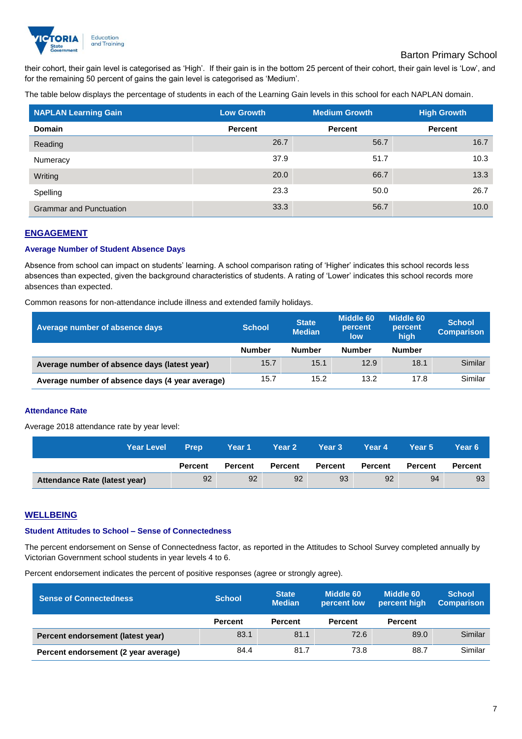

# Barton Primary School

their cohort, their gain level is categorised as 'High'. If their gain is in the bottom 25 percent of their cohort, their gain level is 'Low', and for the remaining 50 percent of gains the gain level is categorised as 'Medium'.

The table below displays the percentage of students in each of the Learning Gain levels in this school for each NAPLAN domain.

| <b>NAPLAN Learning Gain</b>    | <b>Low Growth</b> | <b>Medium Growth</b> | <b>High Growth</b> |
|--------------------------------|-------------------|----------------------|--------------------|
| <b>Domain</b>                  | <b>Percent</b>    | <b>Percent</b>       | <b>Percent</b>     |
| Reading                        | 26.7              | 56.7                 | 16.7               |
| Numeracy                       | 37.9              | 51.7                 | 10.3               |
| Writing                        | 20.0              | 66.7                 | 13.3               |
| Spelling                       | 23.3              | 50.0                 | 26.7               |
| <b>Grammar and Punctuation</b> | 33.3              | 56.7                 | 10.0               |

### **ENGAGEMENT**

### **Average Number of Student Absence Days**

Absence from school can impact on students' learning. A school comparison rating of 'Higher' indicates this school records less absences than expected, given the background characteristics of students. A rating of 'Lower' indicates this school records more absences than expected.

Common reasons for non-attendance include illness and extended family holidays.

| Average number of absence days                  | <b>School</b> | <b>State</b><br><b>Median</b> | Middle 60<br>percent<br>low | Middle 60<br>percent<br>high | <b>School</b><br><b>Comparison</b> |
|-------------------------------------------------|---------------|-------------------------------|-----------------------------|------------------------------|------------------------------------|
|                                                 | <b>Number</b> | <b>Number</b>                 | <b>Number</b>               | <b>Number</b>                |                                    |
| Average number of absence days (latest year)    | 15.7          | 15.1                          | 12.9                        | 18.1                         | Similar                            |
| Average number of absence days (4 year average) | 15.7          | 15.2                          | 13.2                        | 17.8                         | Similar                            |

#### **Attendance Rate**

Average 2018 attendance rate by year level:

| <b>Year Level</b>             | <b>Prep</b>    | Year 1         | <b>Year 2</b> | Year 3         | Year 4         | Year 5         | Year 6'        |
|-------------------------------|----------------|----------------|---------------|----------------|----------------|----------------|----------------|
|                               | <b>Percent</b> | <b>Percent</b> | Percent       | <b>Percent</b> | <b>Percent</b> | <b>Percent</b> | <b>Percent</b> |
| Attendance Rate (latest year) | 92             | 92             | 92            | 93             | 92             | 94             | 93             |

#### **WELLBEING**

# **Student Attitudes to School – Sense of Connectedness**

The percent endorsement on Sense of Connectedness factor, as reported in the Attitudes to School Survey completed annually by Victorian Government school students in year levels 4 to 6.

Percent endorsement indicates the percent of positive responses (agree or strongly agree).

| <b>Sense of Connectedness</b>        | <b>School</b>  | <b>State</b><br><b>Median</b> | Middle 60<br>percent low | Middle 60<br>percent high | <b>School</b><br><b>Comparison</b> |
|--------------------------------------|----------------|-------------------------------|--------------------------|---------------------------|------------------------------------|
|                                      | <b>Percent</b> | <b>Percent</b>                | <b>Percent</b>           | <b>Percent</b>            |                                    |
| Percent endorsement (latest year)    | 83.1           | 81.1                          | 72.6                     | 89.0                      | Similar                            |
| Percent endorsement (2 year average) | 84.4           | 81.7                          | 73.8                     | 88.7                      | Similar                            |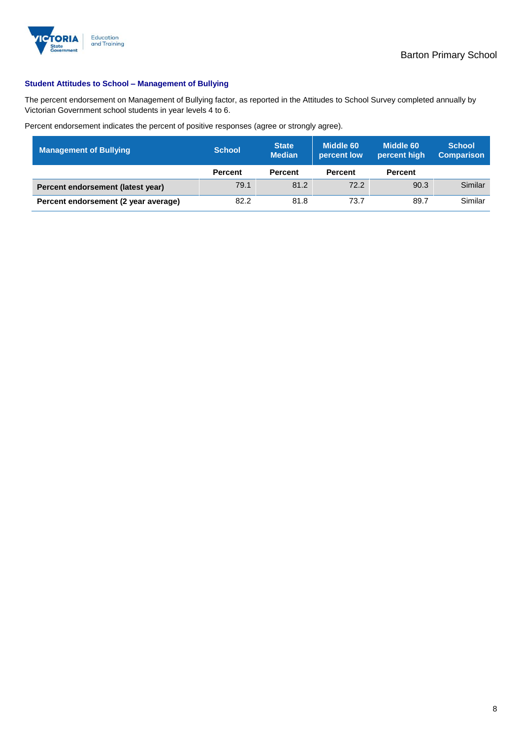

## **Student Attitudes to School – Management of Bullying**

The percent endorsement on Management of Bullying factor, as reported in the Attitudes to School Survey completed annually by Victorian Government school students in year levels 4 to 6.

Percent endorsement indicates the percent of positive responses (agree or strongly agree).

| <b>Management of Bullying</b>        | <b>School</b>  | <b>State</b><br><b>Median</b> | Middle 60<br>percent low | Middle 60<br>percent high | <b>School</b><br><b>Comparison</b> |
|--------------------------------------|----------------|-------------------------------|--------------------------|---------------------------|------------------------------------|
|                                      | <b>Percent</b> | <b>Percent</b>                | <b>Percent</b>           | <b>Percent</b>            |                                    |
| Percent endorsement (latest year)    | 79.1           | 81.2                          | 72.2                     | 90.3                      | Similar                            |
| Percent endorsement (2 year average) | 82.2           | 81.8                          | 73.7                     | 89.7                      | Similar                            |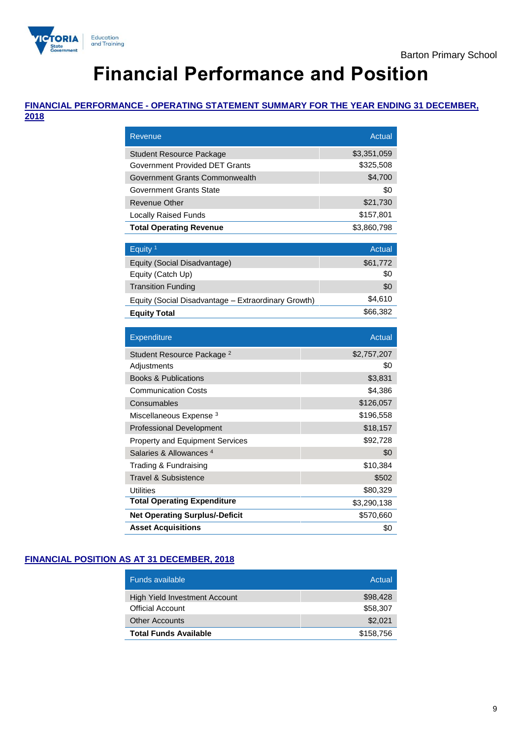

# **Financial Performance and Position**

# **FINANCIAL PERFORMANCE - OPERATING STATEMENT SUMMARY FOR THE YEAR ENDING 31 DECEMBER,**

**2018**

| Revenue                                             | Actual        |
|-----------------------------------------------------|---------------|
| Student Resource Package                            | \$3,351,059   |
| Government Provided DET Grants                      | \$325,508     |
| Government Grants Commonwealth                      | \$4,700       |
| Government Grants State                             | \$0           |
| Revenue Other                                       | \$21,730      |
| <b>Locally Raised Funds</b>                         | \$157,801     |
| <b>Total Operating Revenue</b>                      | \$3,860,798   |
|                                                     |               |
| Equity <sup>1</sup>                                 | <b>Actual</b> |
| Equity (Social Disadvantage)                        | \$61,772      |
| Equity (Catch Up)                                   | \$0           |
| <b>Transition Funding</b>                           | \$0           |
| Equity (Social Disadvantage - Extraordinary Growth) | \$4,610       |
| <b>Equity Total</b>                                 | \$66,382      |
|                                                     |               |
|                                                     |               |
| Expenditure                                         | <b>Actual</b> |
| Student Resource Package <sup>2</sup>               | \$2,757,207   |
| Adjustments                                         | \$0           |
| <b>Books &amp; Publications</b>                     | \$3,831       |
| <b>Communication Costs</b>                          | \$4,386       |
| Consumables                                         | \$126,057     |
| Miscellaneous Expense <sup>3</sup>                  | \$196,558     |
| <b>Professional Development</b>                     | \$18,157      |
| <b>Property and Equipment Services</b>              | \$92,728      |
| Salaries & Allowances <sup>4</sup>                  | \$0           |
| Trading & Fundraising                               | \$10,384      |
| <b>Travel &amp; Subsistence</b>                     | \$502         |
| <b>Utilities</b>                                    | \$80,329      |
| <b>Total Operating Expenditure</b>                  | \$3,290,138   |
| <b>Net Operating Surplus/-Deficit</b>               | \$570,660     |

# **FINANCIAL POSITION AS AT 31 DECEMBER, 2018**

| <b>Funds available</b>        | Actual    |
|-------------------------------|-----------|
| High Yield Investment Account | \$98,428  |
| <b>Official Account</b>       | \$58,307  |
| <b>Other Accounts</b>         | \$2,021   |
| <b>Total Funds Available</b>  | \$158,756 |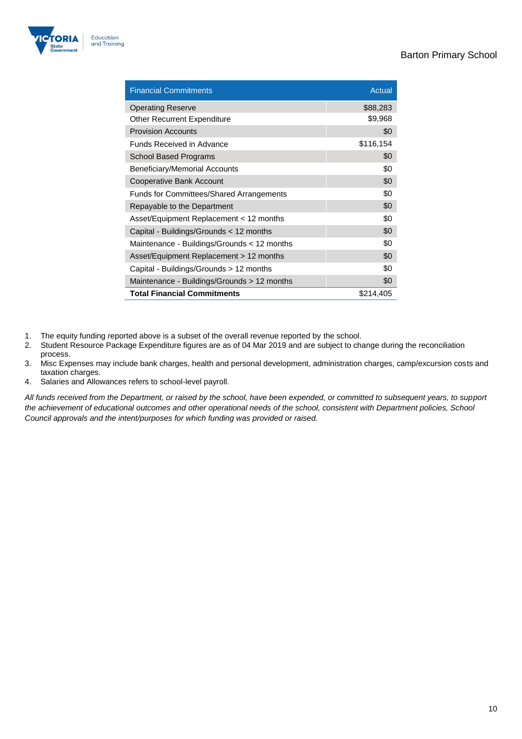

| <b>Financial Commitments</b>                    | Actual    |
|-------------------------------------------------|-----------|
| <b>Operating Reserve</b>                        | \$88,283  |
| Other Recurrent Expenditure                     | \$9,968   |
| <b>Provision Accounts</b>                       | \$0       |
| <b>Funds Received in Advance</b>                | \$116,154 |
| School Based Programs                           | \$0       |
| Beneficiary/Memorial Accounts                   | \$0       |
| Cooperative Bank Account                        | \$0       |
| <b>Funds for Committees/Shared Arrangements</b> | \$0       |
| Repayable to the Department                     | \$0       |
| Asset/Equipment Replacement < 12 months         | \$0       |
| Capital - Buildings/Grounds < 12 months         | \$0       |
| Maintenance - Buildings/Grounds < 12 months     | \$0       |
| Asset/Equipment Replacement > 12 months         | \$0       |
| Capital - Buildings/Grounds > 12 months         | \$0       |
| Maintenance - Buildings/Grounds > 12 months     | \$0       |
| <b>Total Financial Commitments</b>              | \$214,405 |

- 1. The equity funding reported above is a subset of the overall revenue reported by the school.<br>2. Student Resource Package Expenditure figures are as of 04 Mar 2019 and are subject to ch
- Student Resource Package Expenditure figures are as of 04 Mar 2019 and are subject to change during the reconciliation process.
- 3. Misc Expenses may include bank charges, health and personal development, administration charges, camp/excursion costs and taxation charges.
- 4. Salaries and Allowances refers to school-level payroll.

*All funds received from the Department, or raised by the school, have been expended, or committed to subsequent years, to support the achievement of educational outcomes and other operational needs of the school, consistent with Department policies, School Council approvals and the intent/purposes for which funding was provided or raised.*